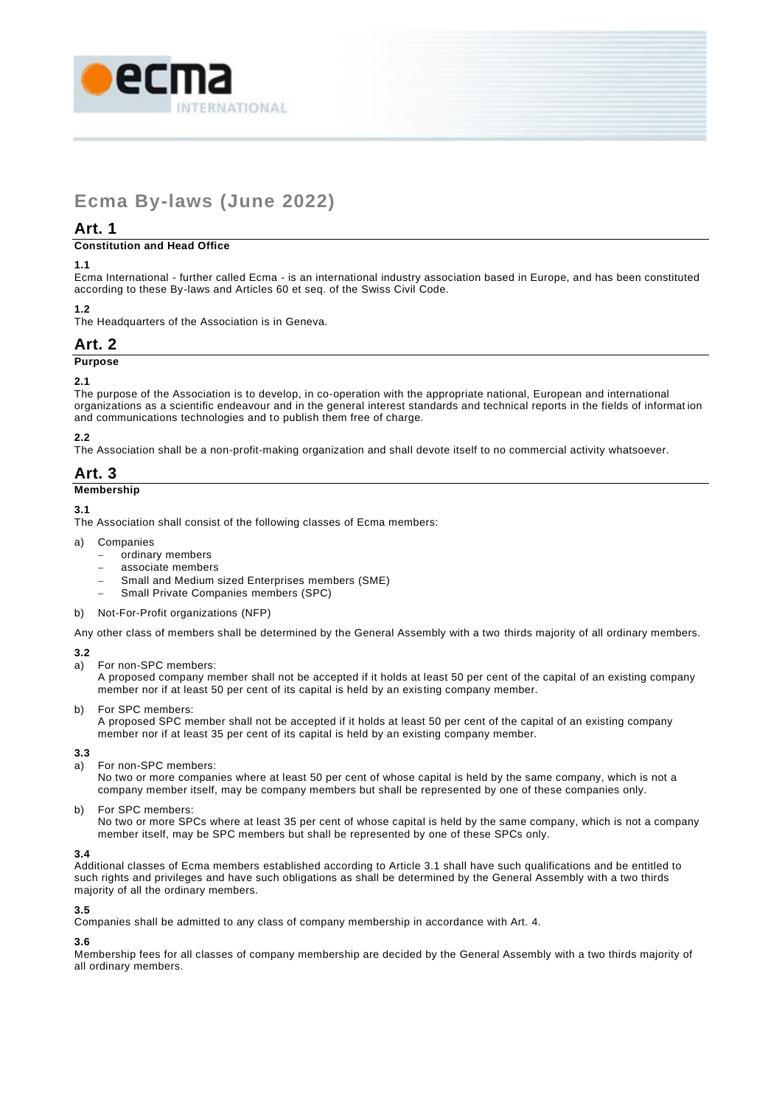

# **Ecma By-laws (June 2022)**

# **Art. 1**

#### **Constitution and Head Office**

#### **1.1**

Ecma International - further called Ecma - is an international industry association based in Europe, and has been constituted according to these By-laws and Articles 60 et seq. of the Swiss Civil Code.

#### **1.2**

The Headquarters of the Association is in Geneva.

## **Art. 2 Purpose**

#### **2.1**

The purpose of the Association is to develop, in co-operation with the appropriate national, European and international organizations as a scientific endeavour and in the general interest standards and technical reports in the fields of informat ion and communications technologies and to publish them free of charge.

## **2.2**

The Association shall be a non-profit-making organization and shall devote itself to no commercial activity whatsoever.

# **Art. 3**

#### **Membership**

#### **3.1**

The Association shall consist of the following classes of Ecma members:

a) Companies

- − ordinary members
- − associate members
- Small and Medium sized Enterprises members (SME)
- − Small Private Companies members (SPC)
- b) Not-For-Profit organizations (NFP)

Any other class of members shall be determined by the General Assembly with a two thirds majority of all ordinary members.

#### **3.2**

a) For non-SPC members:

A proposed company member shall not be accepted if it holds at least 50 per cent of the capital of an existing company member nor if at least 50 per cent of its capital is held by an existing company member.

b) For SPC members:

A proposed SPC member shall not be accepted if it holds at least 50 per cent of the capital of an existing company member nor if at least 35 per cent of its capital is held by an existing company member.

#### **3.3**

a) For non-SPC members:

No two or more companies where at least 50 per cent of whose capital is held by the same company, which is not a company member itself, may be company members but shall be represented by one of these companies only.

b) For SPC members:

No two or more SPCs where at least 35 per cent of whose capital is held by the same company, which is not a company member itself, may be SPC members but shall be represented by one of these SPCs only.

#### **3.4**

Additional classes of Ecma members established according to Article 3.1 shall have such qualifications and be entitled to such rights and privileges and have such obligations as shall be determined by the General Assembly with a two thirds majority of all the ordinary members.

#### **3.5**

Companies shall be admitted to any class of company membership in accordance with Art. 4.

#### **3.6**

Membership fees for all classes of company membership are decided by the General Assembly with a two thirds majority of all ordinary members.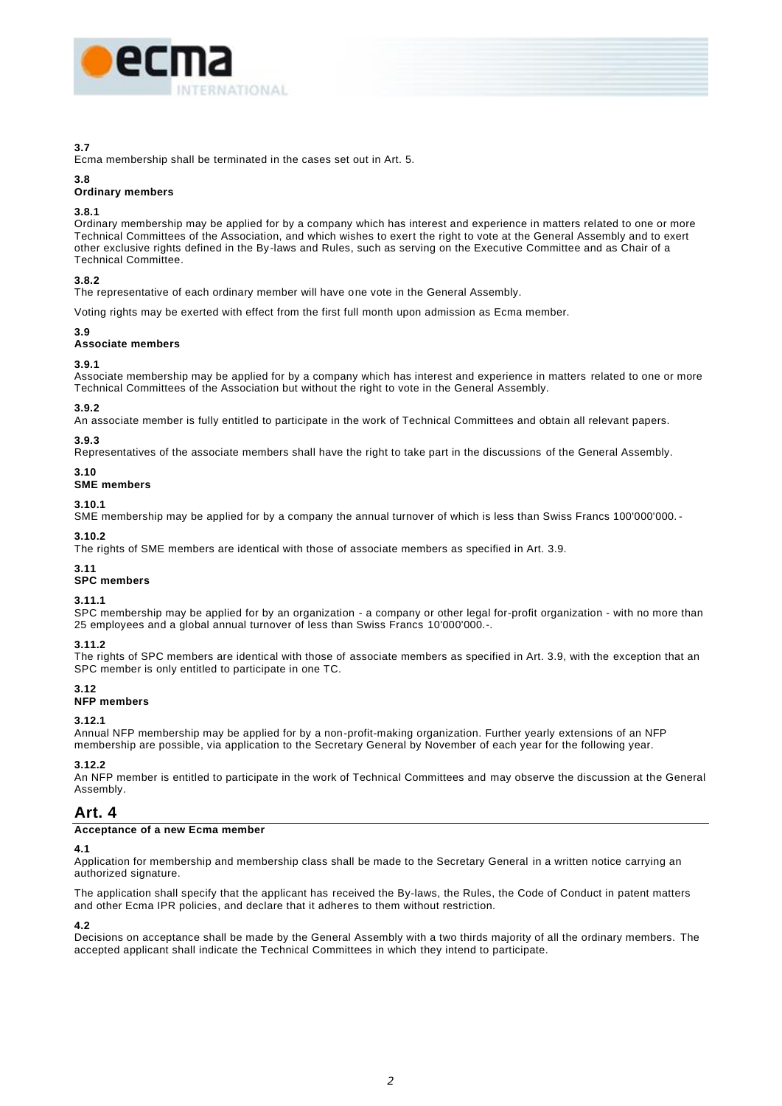

#### **3.7**

Ecma membership shall be terminated in the cases set out in Art. 5.

#### **3.8**

#### **Ordinary members**

#### **3.8.1**

Ordinary membership may be applied for by a company which has interest and experience in matters related to one or more Technical Committees of the Association, and which wishes to exert the right to vote at the General Assembly and to exert other exclusive rights defined in the By-laws and Rules, such as serving on the Executive Committee and as Chair of a Technical Committee.

#### **3.8.2**

The representative of each ordinary member will have one vote in the General Assembly.

Voting rights may be exerted with effect from the first full month upon admission as Ecma member.

#### **3.9**

#### **Associate members**

#### **3.9.1**

Associate membership may be applied for by a company which has interest and experience in matters related to one or more Technical Committees of the Association but without the right to vote in the General Assembly.

#### **3.9.2**

An associate member is fully entitled to participate in the work of Technical Committees and obtain all relevant papers.

#### **3.9.3**

Representatives of the associate members shall have the right to take part in the discussions of the General Assembly.

#### **3.10**

#### **SME members**

#### **3.10.1**

SME membership may be applied for by a company the annual turnover of which is less than Swiss Francs 100'000'000.

#### **3.10.2**

The rights of SME members are identical with those of associate members as specified in Art. 3.9.

#### **3.11**

#### **SPC members**

#### **3.11.1**

SPC membership may be applied for by an organization - a company or other legal for-profit organization - with no more than 25 employees and a global annual turnover of less than Swiss Francs 10'000'000.-.

#### **3.11.2**

The rights of SPC members are identical with those of associate members as specified in Art. 3.9, with the exception that an SPC member is only entitled to participate in one TC.

#### **3.12 NFP members**

**3.12.1**

Annual NFP membership may be applied for by a non-profit-making organization. Further yearly extensions of an NFP membership are possible, via application to the Secretary General by November of each year for the following year.

#### **3.12.2**

An NFP member is entitled to participate in the work of Technical Committees and may observe the discussion at the General Assembly.

# **Art. 4**

#### **Acceptance of a new Ecma member**

#### **4.1**

Application for membership and membership class shall be made to the Secretary General in a written notice carrying an authorized signature.

The application shall specify that the applicant has received the By-laws, the Rules, the Code of Conduct in patent matters and other Ecma IPR policies, and declare that it adheres to them without restriction.

#### **4.2**

Decisions on acceptance shall be made by the General Assembly with a two thirds majority of all the ordinary members. The accepted applicant shall indicate the Technical Committees in which they intend to participate.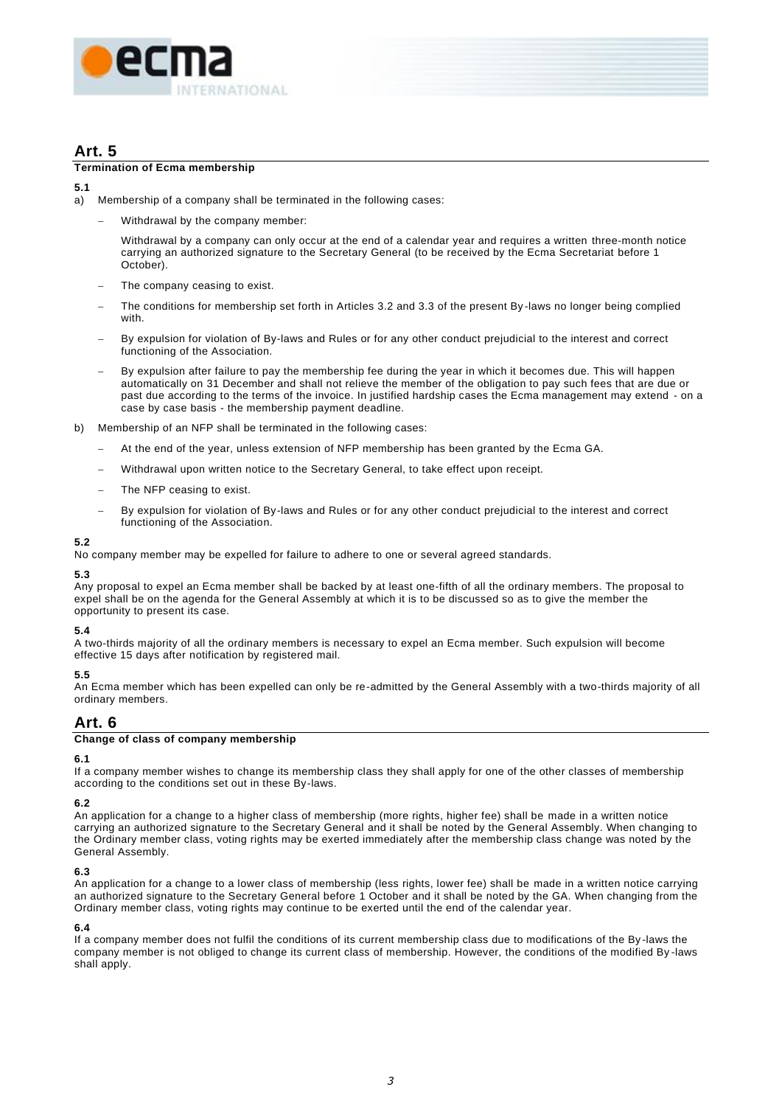

# **Art. 5**

#### **Termination of Ecma membership**

#### **5.1**

- a) Membership of a company shall be terminated in the following cases:
	- − Withdrawal by the company member:

Withdrawal by a company can only occur at the end of a calendar year and requires a written three-month notice carrying an authorized signature to the Secretary General (to be received by the Ecma Secretariat before 1 October).

- The company ceasing to exist.
- The conditions for membership set forth in Articles 3.2 and 3.3 of the present By-laws no longer being complied with.
- By expulsion for violation of By-laws and Rules or for any other conduct prejudicial to the interest and correct functioning of the Association.
- By expulsion after failure to pay the membership fee during the year in which it becomes due. This will happen automatically on 31 December and shall not relieve the member of the obligation to pay such fees that are due or past due according to the terms of the invoice. In justified hardship cases the Ecma management may extend - on a case by case basis - the membership payment deadline.
- b) Membership of an NFP shall be terminated in the following cases:
	- At the end of the year, unless extension of NFP membership has been granted by the Ecma GA.
	- Withdrawal upon written notice to the Secretary General, to take effect upon receipt.
	- The NFP ceasing to exist.
	- By expulsion for violation of By-laws and Rules or for any other conduct prejudicial to the interest and correct functioning of the Association.

#### **5.2**

No company member may be expelled for failure to adhere to one or several agreed standards.

#### **5.3**

Any proposal to expel an Ecma member shall be backed by at least one-fifth of all the ordinary members. The proposal to expel shall be on the agenda for the General Assembly at which it is to be discussed so as to give the member the opportunity to present its case.

#### **5.4**

A two-thirds majority of all the ordinary members is necessary to expel an Ecma member. Such expulsion will become effective 15 days after notification by registered mail.

#### **5.5**

An Ecma member which has been expelled can only be re-admitted by the General Assembly with a two-thirds majority of all ordinary members.

# **Art. 6**

#### **Change of class of company membership**

#### **6.1**

If a company member wishes to change its membership class they shall apply for one of the other classes of membership according to the conditions set out in these By-laws.

#### **6.2**

An application for a change to a higher class of membership (more rights, higher fee) shall be made in a written notice carrying an authorized signature to the Secretary General and it shall be noted by the General Assembly. When changing to the Ordinary member class, voting rights may be exerted immediately after the membership class change was noted by the General Assembly.

#### **6.3**

An application for a change to a lower class of membership (less rights, lower fee) shall be made in a written notice carrying an authorized signature to the Secretary General before 1 October and it shall be noted by the GA. When changing from the Ordinary member class, voting rights may continue to be exerted until the end of the calendar year.

#### **6.4**

If a company member does not fulfil the conditions of its current membership class due to modifications of the By -laws the company member is not obliged to change its current class of membership. However, the conditions of the modified By -laws shall apply.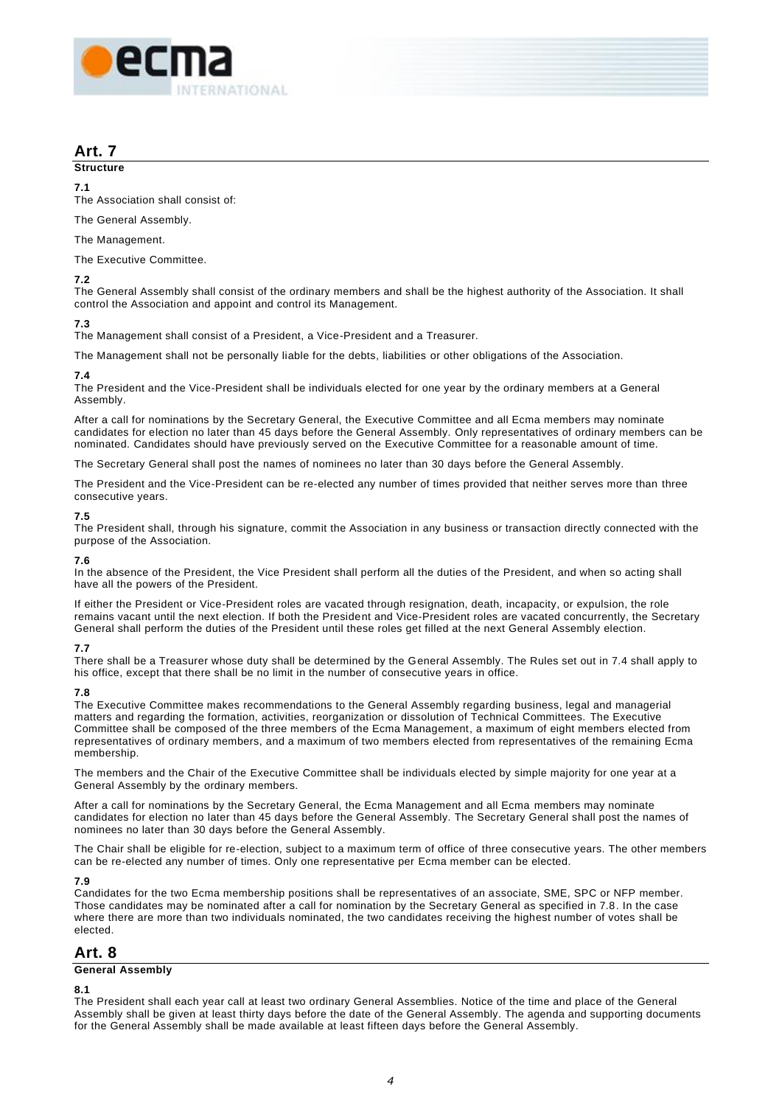

# **Art. 7**

## **Structure**

#### **7.1**

The Association shall consist of:

#### The General Assembly.

The Management.

The Executive Committee.

#### **7.2**

The General Assembly shall consist of the ordinary members and shall be the highest authority of the Association. It shall control the Association and appoint and control its Management.

## **7.3**

The Management shall consist of a President, a Vice-President and a Treasurer.

The Management shall not be personally liable for the debts, liabilities or other obligations of the Association.

#### **7.4**

The President and the Vice-President shall be individuals elected for one year by the ordinary members at a General Assembly.

After a call for nominations by the Secretary General, the Executive Committee and all Ecma members may nominate candidates for election no later than 45 days before the General Assembly. Only representatives of ordinary members can be nominated. Candidates should have previously served on the Executive Committee for a reasonable amount of time.

The Secretary General shall post the names of nominees no later than 30 days before the General Assembly.

The President and the Vice-President can be re-elected any number of times provided that neither serves more than three consecutive years.

#### **7.5**

The President shall, through his signature, commit the Association in any business or transaction directly connected with the purpose of the Association.

#### **7.6**

In the absence of the President, the Vice President shall perform all the duties of the President, and when so acting shall have all the powers of the President.

If either the President or Vice-President roles are vacated through resignation, death, incapacity, or expulsion, the role remains vacant until the next election. If both the President and Vice-President roles are vacated concurrently, the Secretary General shall perform the duties of the President until these roles get filled at the next General Assembly election.

#### **7.7**

There shall be a Treasurer whose duty shall be determined by the General Assembly. The Rules set out in 7.4 shall apply to his office, except that there shall be no limit in the number of consecutive years in office.

#### **7.8**

The Executive Committee makes recommendations to the General Assembly regarding business, legal and managerial matters and regarding the formation, activities, reorganization or dissolution of Technical Committees. The Executive Committee shall be composed of the three members of the Ecma Management, a maximum of eight members elected from representatives of ordinary members, and a maximum of two members elected from representatives of the remaining Ecma membership.

The members and the Chair of the Executive Committee shall be individuals elected by simple majority for one year at a General Assembly by the ordinary members.

After a call for nominations by the Secretary General, the Ecma Management and all Ecma members may nominate candidates for election no later than 45 days before the General Assembly. The Secretary General shall post the names of nominees no later than 30 days before the General Assembly.

The Chair shall be eligible for re-election, subject to a maximum term of office of three consecutive years. The other members can be re-elected any number of times. Only one representative per Ecma member can be elected.

#### **7.9**

Candidates for the two Ecma membership positions shall be representatives of an associate, SME, SPC or NFP member. Those candidates may be nominated after a call for nomination by the Secretary General as specified in 7.8. In the case where there are more than two individuals nominated, the two candidates receiving the highest number of votes shall be elected.

# **Art. 8**

#### **General Assembly**

#### **8.1**

The President shall each year call at least two ordinary General Assemblies. Notice of the time and place of the General Assembly shall be given at least thirty days before the date of the General Assembly. The agenda and supporting documents for the General Assembly shall be made available at least fifteen days before the General Assembly.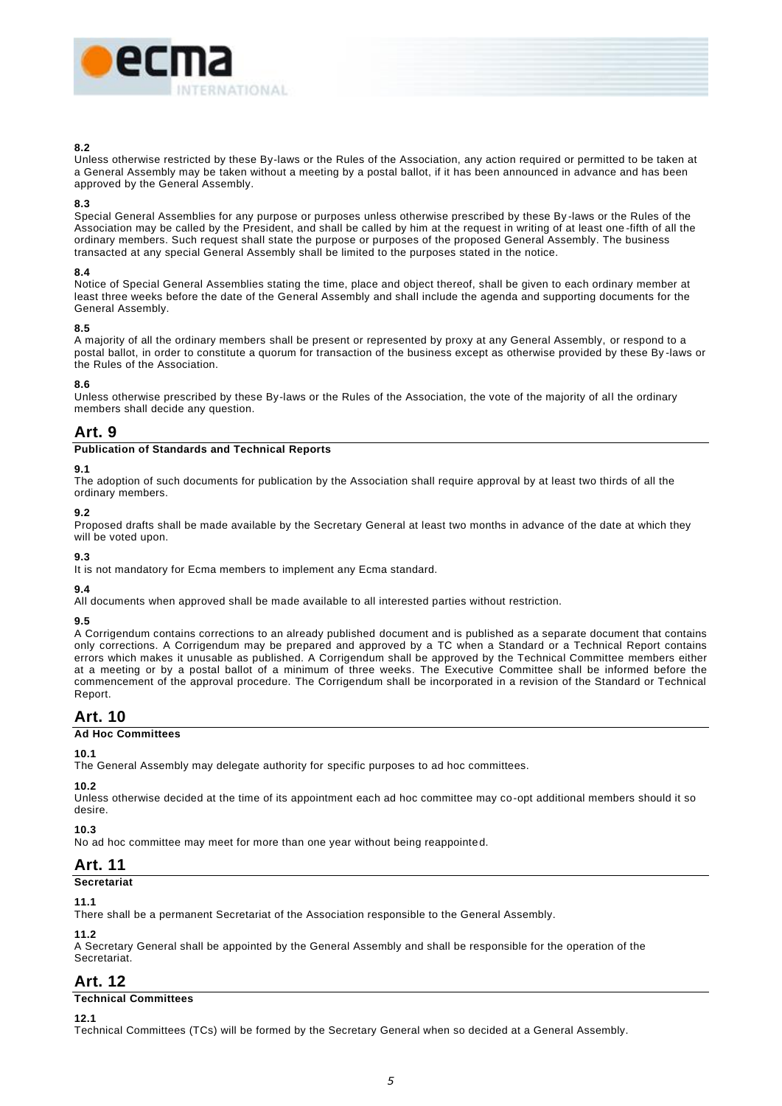

#### **8.2**

Unless otherwise restricted by these By-laws or the Rules of the Association, any action required or permitted to be taken at a General Assembly may be taken without a meeting by a postal ballot, if it has been announced in advance and has been approved by the General Assembly.

#### **8.3**

Special General Assemblies for any purpose or purposes unless otherwise prescribed by these By -laws or the Rules of the Association may be called by the President, and shall be called by him at the request in writing of at least one -fifth of all the ordinary members. Such request shall state the purpose or purposes of the proposed General Assembly. The business transacted at any special General Assembly shall be limited to the purposes stated in the notice.

#### **8.4**

Notice of Special General Assemblies stating the time, place and object thereof, shall be given to each ordinary member at least three weeks before the date of the General Assembly and shall include the agenda and supporting documents for the General Assembly.

#### **8.5**

A majority of all the ordinary members shall be present or represented by proxy at any General Assembly, or respond to a postal ballot, in order to constitute a quorum for transaction of the business except as otherwise provided by these By -laws or the Rules of the Association.

#### **8.6**

Unless otherwise prescribed by these By-laws or the Rules of the Association, the vote of the majority of all the ordinary members shall decide any question.

# **Art. 9**

#### **Publication of Standards and Technical Reports**

#### **9.1**

The adoption of such documents for publication by the Association shall require approval by at least two thirds of all the ordinary members.

#### **9.2**

Proposed drafts shall be made available by the Secretary General at least two months in advance of the date at which they will be voted upon.

# **9.3**

It is not mandatory for Ecma members to implement any Ecma standard.

## **9.4**

All documents when approved shall be made available to all interested parties without restriction.

#### **9.5**

A Corrigendum contains corrections to an already published document and is published as a separate document that contains only corrections. A Corrigendum may be prepared and approved by a TC when a Standard or a Technical Report contains errors which makes it unusable as published. A Corrigendum shall be approved by the Technical Committee members either at a meeting or by a postal ballot of a minimum of three weeks. The Executive Committee shall be informed before the commencement of the approval procedure. The Corrigendum shall be incorporated in a revision of the Standard or Technical Report.

# **Art. 10**

#### **Ad Hoc Committees**

#### **10.1**

The General Assembly may delegate authority for specific purposes to ad hoc committees.

#### **10.2**

Unless otherwise decided at the time of its appointment each ad hoc committee may co-opt additional members should it so desire.

## **10.3**

No ad hoc committee may meet for more than one year without being reappointed.

# **Art. 11**

# **Secretariat**

**11.1**

There shall be a permanent Secretariat of the Association responsible to the General Assembly.

#### **11.2**

A Secretary General shall be appointed by the General Assembly and shall be responsible for the operation of the Secretariat.

# **Art. 12**

#### **Technical Committees**

**12.1**

Technical Committees (TCs) will be formed by the Secretary General when so decided at a General Assembly.